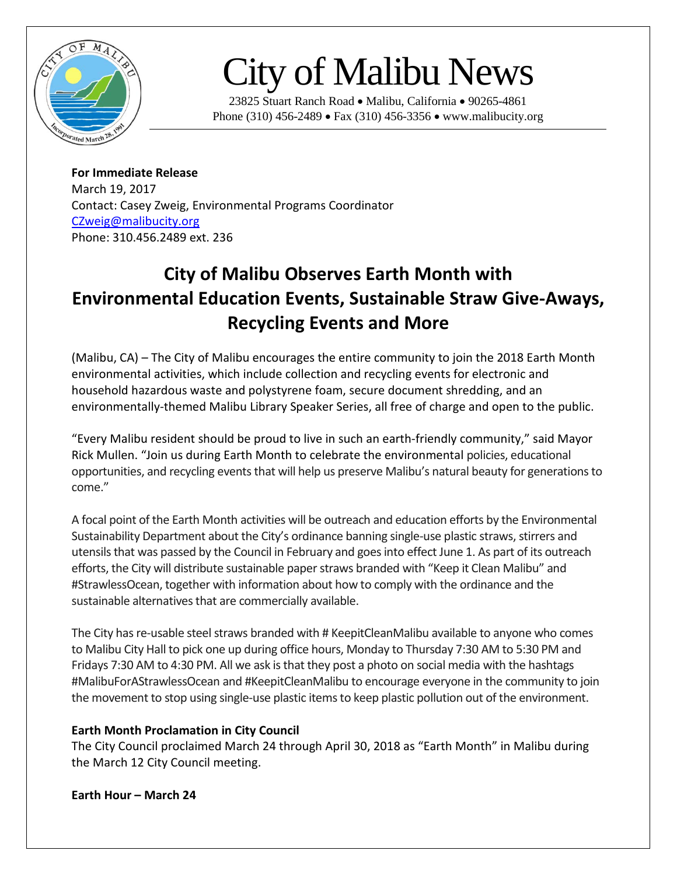

# City of Malibu News

23825 Stuart Ranch Road • Malibu, California • 90265-4861 Phone (310) 456-2489 • Fax (310) 456-3356 • www.malibucity.org

**For Immediate Release** March 19, 2017 Contact: Casey Zweig, Environmental Programs Coordinator [CZweig@malibucity.org](mailto:CZweig@malibucity.org) Phone: 310.456.2489 ext. 236

# **City of Malibu Observes Earth Month with Environmental Education Events, Sustainable Straw Give-Aways, Recycling Events and More**

(Malibu, CA) – The City of Malibu encourages the entire community to join the 2018 Earth Month environmental activities, which include collection and recycling events for electronic and household hazardous waste and polystyrene foam, secure document shredding, and an environmentally-themed Malibu Library Speaker Series, all free of charge and open to the public.

"Every Malibu resident should be proud to live in such an earth-friendly community," said Mayor Rick Mullen. "Join us during Earth Month to celebrate the environmental policies, educational opportunities, and recycling events that will help us preserve Malibu's natural beauty for generations to come."

A focal point of the Earth Month activities will be outreach and education efforts by the Environmental Sustainability Department about the City's ordinance banning single-use plastic straws, stirrers and utensils that was passed by the Council in February and goes into effect June 1. As part of its outreach efforts, the City will distribute sustainable paper straws branded with "Keep it Clean Malibu" and #StrawlessOcean, together with information about how to comply with the ordinance and the sustainable alternatives that are commercially available.

The City has re-usable steel straws branded with # KeepitCleanMalibu available to anyone who comes to Malibu City Hall to pick one up during office hours, Monday to Thursday 7:30 AM to 5:30 PM and Fridays 7:30 AM to 4:30 PM. All we ask is that they post a photo on social media with the hashtags #MalibuForAStrawlessOcean and #KeepitCleanMalibu to encourage everyone in the community to join the movement to stop using single-use plastic items to keep plastic pollution out of the environment.

# **Earth Month Proclamation in City Council**

The City Council proclaimed March 24 through April 30, 2018 as "Earth Month" in Malibu during the March 12 City Council meeting.

#### **Earth Hour – March 24**